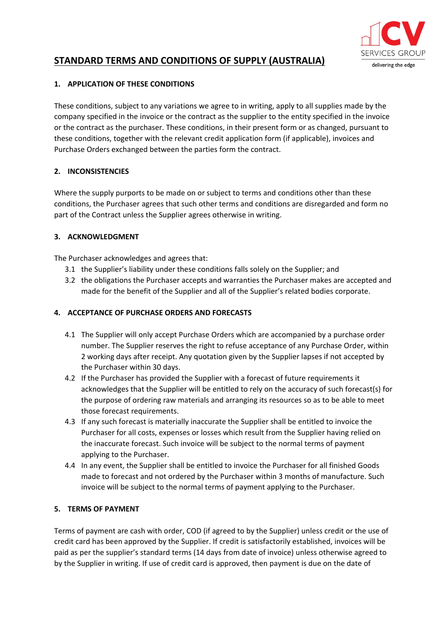

# **STANDARD TERMS AND CONDITIONS OF SUPPLY (AUSTRALIA)**

### **1. APPLICATION OF THESE CONDITIONS**

These conditions, subject to any variations we agree to in writing, apply to all supplies made by the company specified in the invoice or the contract as the supplier to the entity specified in the invoice or the contract as the purchaser. These conditions, in their present form or as changed, pursuant to these conditions, together with the relevant credit application form (if applicable), invoices and Purchase Orders exchanged between the parties form the contract.

# **2. INCONSISTENCIES**

Where the supply purports to be made on or subject to terms and conditions other than these conditions, the Purchaser agrees that such other terms and conditions are disregarded and form no part of the Contract unless the Supplier agrees otherwise in writing.

# **3. ACKNOWLEDGMENT**

The Purchaser acknowledges and agrees that:

- 3.1 the Supplier's liability under these conditions falls solely on the Supplier; and
- 3.2 the obligations the Purchaser accepts and warranties the Purchaser makes are accepted and made for the benefit of the Supplier and all of the Supplier's related bodies corporate.

# **4. ACCEPTANCE OF PURCHASE ORDERS AND FORECASTS**

- 4.1 The Supplier will only accept Purchase Orders which are accompanied by a purchase order number. The Supplier reserves the right to refuse acceptance of any Purchase Order, within 2 working days after receipt. Any quotation given by the Supplier lapses if not accepted by the Purchaser within 30 days.
- 4.2 If the Purchaser has provided the Supplier with a forecast of future requirements it acknowledges that the Supplier will be entitled to rely on the accuracy of such forecast(s) for the purpose of ordering raw materials and arranging its resources so as to be able to meet those forecast requirements.
- 4.3 If any such forecast is materially inaccurate the Supplier shall be entitled to invoice the Purchaser for all costs, expenses or losses which result from the Supplier having relied on the inaccurate forecast. Such invoice will be subject to the normal terms of payment applying to the Purchaser.
- 4.4 In any event, the Supplier shall be entitled to invoice the Purchaser for all finished Goods made to forecast and not ordered by the Purchaser within 3 months of manufacture. Such invoice will be subject to the normal terms of payment applying to the Purchaser.

### **5. TERMS OF PAYMENT**

Terms of payment are cash with order, COD (if agreed to by the Supplier) unless credit or the use of credit card has been approved by the Supplier. If credit is satisfactorily established, invoices will be paid as per the supplier's standard terms (14 days from date of invoice) unless otherwise agreed to by the Supplier in writing. If use of credit card is approved, then payment is due on the date of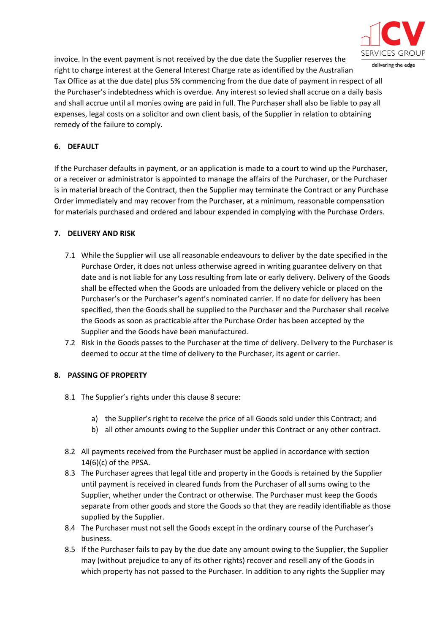

delivering the edge

invoice. In the event payment is not received by the due date the Supplier reserves the right to charge interest at the General Interest Charge rate as identified by the Australian Tax Office as at the due date) plus 5% commencing from the due date of payment in respect of all the Purchaser's indebtedness which is overdue. Any interest so levied shall accrue on a daily basis and shall accrue until all monies owing are paid in full. The Purchaser shall also be liable to pay all expenses, legal costs on a solicitor and own client basis, of the Supplier in relation to obtaining remedy of the failure to comply.

### **6. DEFAULT**

If the Purchaser defaults in payment, or an application is made to a court to wind up the Purchaser, or a receiver or administrator is appointed to manage the affairs of the Purchaser, or the Purchaser is in material breach of the Contract, then the Supplier may terminate the Contract or any Purchase Order immediately and may recover from the Purchaser, at a minimum, reasonable compensation for materials purchased and ordered and labour expended in complying with the Purchase Orders.

### **7. DELIVERY AND RISK**

- 7.1 While the Supplier will use all reasonable endeavours to deliver by the date specified in the Purchase Order, it does not unless otherwise agreed in writing guarantee delivery on that date and is not liable for any Loss resulting from late or early delivery. Delivery of the Goods shall be effected when the Goods are unloaded from the delivery vehicle or placed on the Purchaser's or the Purchaser's agent's nominated carrier. If no date for delivery has been specified, then the Goods shall be supplied to the Purchaser and the Purchaser shall receive the Goods as soon as practicable after the Purchase Order has been accepted by the Supplier and the Goods have been manufactured.
- 7.2 Risk in the Goods passes to the Purchaser at the time of delivery. Delivery to the Purchaser is deemed to occur at the time of delivery to the Purchaser, its agent or carrier.

# **8. PASSING OF PROPERTY**

- 8.1 The Supplier's rights under this clause 8 secure:
	- a) the Supplier's right to receive the price of all Goods sold under this Contract; and
	- b) all other amounts owing to the Supplier under this Contract or any other contract.
- 8.2 All payments received from the Purchaser must be applied in accordance with section 14(6)(c) of the PPSA.
- 8.3 The Purchaser agrees that legal title and property in the Goods is retained by the Supplier until payment is received in cleared funds from the Purchaser of all sums owing to the Supplier, whether under the Contract or otherwise. The Purchaser must keep the Goods separate from other goods and store the Goods so that they are readily identifiable as those supplied by the Supplier.
- 8.4 The Purchaser must not sell the Goods except in the ordinary course of the Purchaser's business.
- 8.5 If the Purchaser fails to pay by the due date any amount owing to the Supplier, the Supplier may (without prejudice to any of its other rights) recover and resell any of the Goods in which property has not passed to the Purchaser. In addition to any rights the Supplier may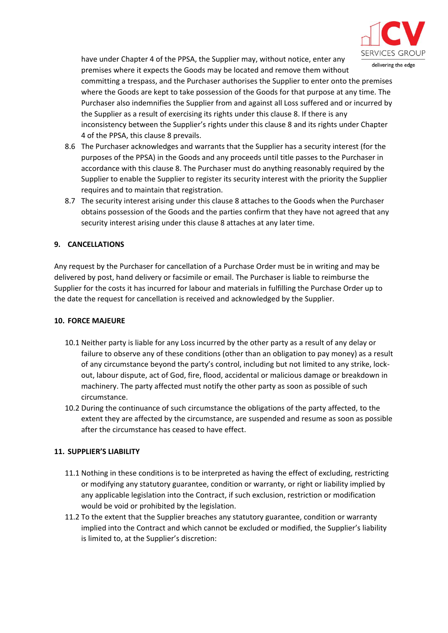

have under Chapter 4 of the PPSA, the Supplier may, without notice, enter any premises where it expects the Goods may be located and remove them without

committing a trespass, and the Purchaser authorises the Supplier to enter onto the premises where the Goods are kept to take possession of the Goods for that purpose at any time. The Purchaser also indemnifies the Supplier from and against all Loss suffered and or incurred by the Supplier as a result of exercising its rights under this clause 8. If there is any inconsistency between the Supplier's rights under this clause 8 and its rights under Chapter 4 of the PPSA, this clause 8 prevails.

- 8.6 The Purchaser acknowledges and warrants that the Supplier has a security interest (for the purposes of the PPSA) in the Goods and any proceeds until title passes to the Purchaser in accordance with this clause 8. The Purchaser must do anything reasonably required by the Supplier to enable the Supplier to register its security interest with the priority the Supplier requires and to maintain that registration.
- 8.7 The security interest arising under this clause 8 attaches to the Goods when the Purchaser obtains possession of the Goods and the parties confirm that they have not agreed that any security interest arising under this clause 8 attaches at any later time.

### **9. CANCELLATIONS**

Any request by the Purchaser for cancellation of a Purchase Order must be in writing and may be delivered by post, hand delivery or facsimile or email. The Purchaser is liable to reimburse the Supplier for the costs it has incurred for labour and materials in fulfilling the Purchase Order up to the date the request for cancellation is received and acknowledged by the Supplier.

#### **10. FORCE MAJEURE**

- 10.1 Neither party is liable for any Loss incurred by the other party as a result of any delay or failure to observe any of these conditions (other than an obligation to pay money) as a result of any circumstance beyond the party's control, including but not limited to any strike, lockout, labour dispute, act of God, fire, flood, accidental or malicious damage or breakdown in machinery. The party affected must notify the other party as soon as possible of such circumstance.
- 10.2 During the continuance of such circumstance the obligations of the party affected, to the extent they are affected by the circumstance, are suspended and resume as soon as possible after the circumstance has ceased to have effect.

### **11. SUPPLIER'S LIABILITY**

- 11.1 Nothing in these conditions is to be interpreted as having the effect of excluding, restricting or modifying any statutory guarantee, condition or warranty, or right or liability implied by any applicable legislation into the Contract, if such exclusion, restriction or modification would be void or prohibited by the legislation.
- 11.2 To the extent that the Supplier breaches any statutory guarantee, condition or warranty implied into the Contract and which cannot be excluded or modified, the Supplier's liability is limited to, at the Supplier's discretion: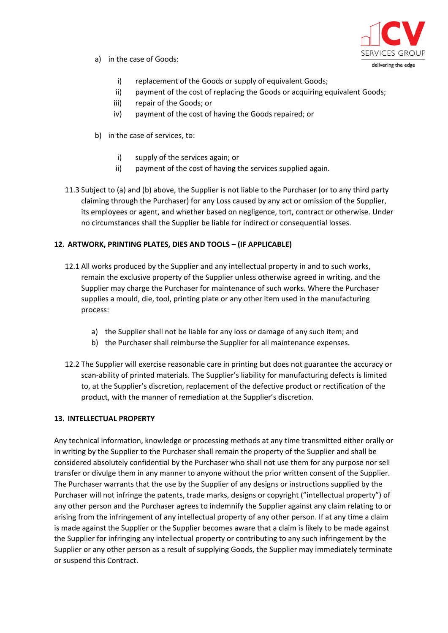

- a) in the case of Goods:
	- i) replacement of the Goods or supply of equivalent Goods;
	- ii) payment of the cost of replacing the Goods or acquiring equivalent Goods;
	- iii) repair of the Goods; or
	- iv) payment of the cost of having the Goods repaired; or
- b) in the case of services, to:
	- i) supply of the services again; or
	- ii) payment of the cost of having the services supplied again.
- 11.3 Subject to (a) and (b) above, the Supplier is not liable to the Purchaser (or to any third party claiming through the Purchaser) for any Loss caused by any act or omission of the Supplier, its employees or agent, and whether based on negligence, tort, contract or otherwise. Under no circumstances shall the Supplier be liable for indirect or consequential losses.

# **12. ARTWORK, PRINTING PLATES, DIES AND TOOLS – (IF APPLICABLE)**

- 12.1 All works produced by the Supplier and any intellectual property in and to such works, remain the exclusive property of the Supplier unless otherwise agreed in writing, and the Supplier may charge the Purchaser for maintenance of such works. Where the Purchaser supplies a mould, die, tool, printing plate or any other item used in the manufacturing process:
	- a) the Supplier shall not be liable for any loss or damage of any such item; and
	- b) the Purchaser shall reimburse the Supplier for all maintenance expenses.
- 12.2 The Supplier will exercise reasonable care in printing but does not guarantee the accuracy or scan-ability of printed materials. The Supplier's liability for manufacturing defects is limited to, at the Supplier's discretion, replacement of the defective product or rectification of the product, with the manner of remediation at the Supplier's discretion.

### **13. INTELLECTUAL PROPERTY**

Any technical information, knowledge or processing methods at any time transmitted either orally or in writing by the Supplier to the Purchaser shall remain the property of the Supplier and shall be considered absolutely confidential by the Purchaser who shall not use them for any purpose nor sell transfer or divulge them in any manner to anyone without the prior written consent of the Supplier. The Purchaser warrants that the use by the Supplier of any designs or instructions supplied by the Purchaser will not infringe the patents, trade marks, designs or copyright ("intellectual property") of any other person and the Purchaser agrees to indemnify the Supplier against any claim relating to or arising from the infringement of any intellectual property of any other person. If at any time a claim is made against the Supplier or the Supplier becomes aware that a claim is likely to be made against the Supplier for infringing any intellectual property or contributing to any such infringement by the Supplier or any other person as a result of supplying Goods, the Supplier may immediately terminate or suspend this Contract.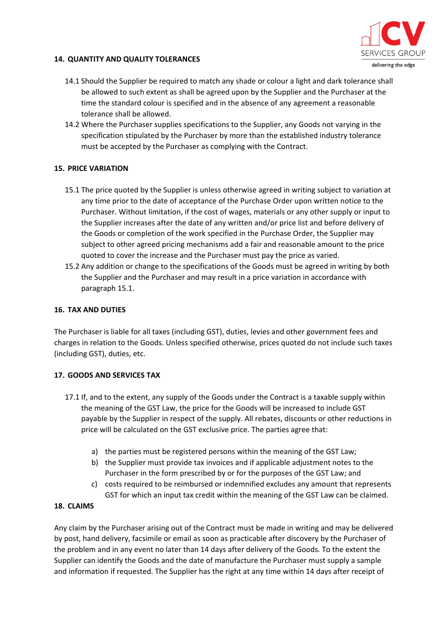

#### **14. QUANTITY AND QUALITY TOLERANCES**

- 14.1 Should the Supplier be required to match any shade or colour a light and dark tolerance shall be allowed to such extent as shall be agreed upon by the Supplier and the Purchaser at the time the standard colour is specified and in the absence of any agreement a reasonable tolerance shall be allowed.
- 14.2 Where the Purchaser supplies specifications to the Supplier, any Goods not varying in the specification stipulated by the Purchaser by more than the established industry tolerance must be accepted by the Purchaser as complying with the Contract.

### **15. PRICE VARIATION**

- 15.1 The price quoted by the Supplier is unless otherwise agreed in writing subject to variation at any time prior to the date of acceptance of the Purchase Order upon written notice to the Purchaser. Without limitation, if the cost of wages, materials or any other supply or input to the Supplier increases after the date of any written and/or price list and before delivery of the Goods or completion of the work specified in the Purchase Order, the Supplier may subject to other agreed pricing mechanisms add a fair and reasonable amount to the price quoted to cover the increase and the Purchaser must pay the price as varied.
- 15.2 Any addition or change to the specifications of the Goods must be agreed in writing by both the Supplier and the Purchaser and may result in a price variation in accordance with paragraph 15.1.

#### **16. TAX AND DUTIES**

The Purchaser is liable for all taxes (including GST), duties, levies and other government fees and charges in relation to the Goods. Unless specified otherwise, prices quoted do not include such taxes (including GST), duties, etc.

#### **17. GOODS AND SERVICES TAX**

- 17.1 If, and to the extent, any supply of the Goods under the Contract is a taxable supply within the meaning of the GST Law, the price for the Goods will be increased to include GST payable by the Supplier in respect of the supply. All rebates, discounts or other reductions in price will be calculated on the GST exclusive price. The parties agree that:
	- a) the parties must be registered persons within the meaning of the GST Law;
	- b) the Supplier must provide tax invoices and if applicable adjustment notes to the Purchaser in the form prescribed by or for the purposes of the GST Law; and
	- c) costs required to be reimbursed or indemnified excludes any amount that represents GST for which an input tax credit within the meaning of the GST Law can be claimed.

### **18. CLAIMS**

Any claim by the Purchaser arising out of the Contract must be made in writing and may be delivered by post, hand delivery, facsimile or email as soon as practicable after discovery by the Purchaser of the problem and in any event no later than 14 days after delivery of the Goods. To the extent the Supplier can identify the Goods and the date of manufacture the Purchaser must supply a sample and information if requested. The Supplier has the right at any time within 14 days after receipt of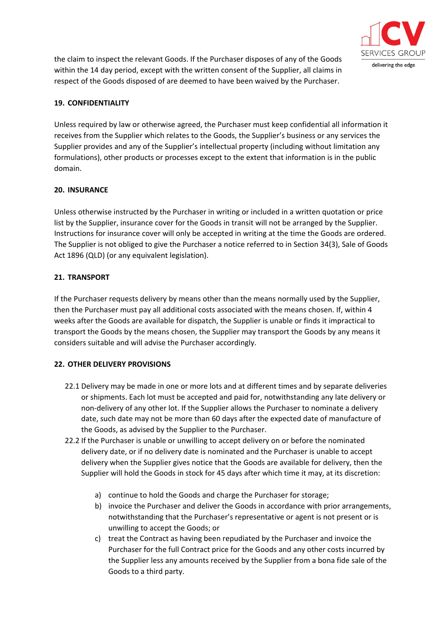

the claim to inspect the relevant Goods. If the Purchaser disposes of any of the Goods within the 14 day period, except with the written consent of the Supplier, all claims in respect of the Goods disposed of are deemed to have been waived by the Purchaser.

### **19. CONFIDENTIALITY**

Unless required by law or otherwise agreed, the Purchaser must keep confidential all information it receives from the Supplier which relates to the Goods, the Supplier's business or any services the Supplier provides and any of the Supplier's intellectual property (including without limitation any formulations), other products or processes except to the extent that information is in the public domain.

### **20. INSURANCE**

Unless otherwise instructed by the Purchaser in writing or included in a written quotation or price list by the Supplier, insurance cover for the Goods in transit will not be arranged by the Supplier. Instructions for insurance cover will only be accepted in writing at the time the Goods are ordered. The Supplier is not obliged to give the Purchaser a notice referred to in Section 34(3), Sale of Goods Act 1896 (QLD) (or any equivalent legislation).

### **21. TRANSPORT**

If the Purchaser requests delivery by means other than the means normally used by the Supplier, then the Purchaser must pay all additional costs associated with the means chosen. If, within 4 weeks after the Goods are available for dispatch, the Supplier is unable or finds it impractical to transport the Goods by the means chosen, the Supplier may transport the Goods by any means it considers suitable and will advise the Purchaser accordingly.

### **22. OTHER DELIVERY PROVISIONS**

- 22.1 Delivery may be made in one or more lots and at different times and by separate deliveries or shipments. Each lot must be accepted and paid for, notwithstanding any late delivery or non-delivery of any other lot. If the Supplier allows the Purchaser to nominate a delivery date, such date may not be more than 60 days after the expected date of manufacture of the Goods, as advised by the Supplier to the Purchaser.
- 22.2 If the Purchaser is unable or unwilling to accept delivery on or before the nominated delivery date, or if no delivery date is nominated and the Purchaser is unable to accept delivery when the Supplier gives notice that the Goods are available for delivery, then the Supplier will hold the Goods in stock for 45 days after which time it may, at its discretion:
	- a) continue to hold the Goods and charge the Purchaser for storage;
	- b) invoice the Purchaser and deliver the Goods in accordance with prior arrangements, notwithstanding that the Purchaser's representative or agent is not present or is unwilling to accept the Goods; or
	- c) treat the Contract as having been repudiated by the Purchaser and invoice the Purchaser for the full Contract price for the Goods and any other costs incurred by the Supplier less any amounts received by the Supplier from a bona fide sale of the Goods to a third party.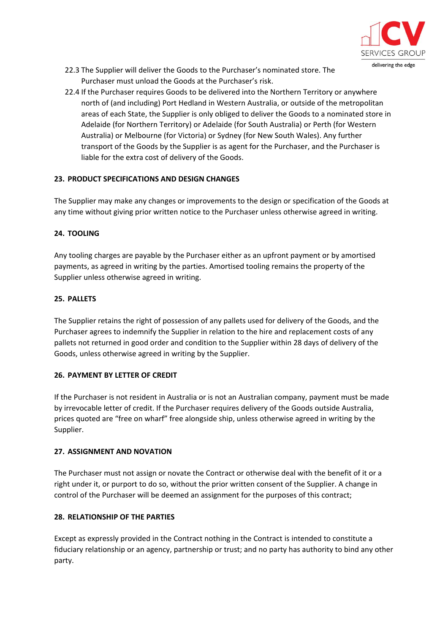

- 22.3 The Supplier will deliver the Goods to the Purchaser's nominated store. The Purchaser must unload the Goods at the Purchaser's risk.
- 22.4 If the Purchaser requires Goods to be delivered into the Northern Territory or anywhere north of (and including) Port Hedland in Western Australia, or outside of the metropolitan areas of each State, the Supplier is only obliged to deliver the Goods to a nominated store in Adelaide (for Northern Territory) or Adelaide (for South Australia) or Perth (for Western Australia) or Melbourne (for Victoria) or Sydney (for New South Wales). Any further transport of the Goods by the Supplier is as agent for the Purchaser, and the Purchaser is liable for the extra cost of delivery of the Goods.

### **23. PRODUCT SPECIFICATIONS AND DESIGN CHANGES**

The Supplier may make any changes or improvements to the design or specification of the Goods at any time without giving prior written notice to the Purchaser unless otherwise agreed in writing.

### **24. TOOLING**

Any tooling charges are payable by the Purchaser either as an upfront payment or by amortised payments, as agreed in writing by the parties. Amortised tooling remains the property of the Supplier unless otherwise agreed in writing.

#### **25. PALLETS**

The Supplier retains the right of possession of any pallets used for delivery of the Goods, and the Purchaser agrees to indemnify the Supplier in relation to the hire and replacement costs of any pallets not returned in good order and condition to the Supplier within 28 days of delivery of the Goods, unless otherwise agreed in writing by the Supplier.

### **26. PAYMENT BY LETTER OF CREDIT**

If the Purchaser is not resident in Australia or is not an Australian company, payment must be made by irrevocable letter of credit. If the Purchaser requires delivery of the Goods outside Australia, prices quoted are "free on wharf" free alongside ship, unless otherwise agreed in writing by the Supplier.

### **27. ASSIGNMENT AND NOVATION**

The Purchaser must not assign or novate the Contract or otherwise deal with the benefit of it or a right under it, or purport to do so, without the prior written consent of the Supplier. A change in control of the Purchaser will be deemed an assignment for the purposes of this contract;

### **28. RELATIONSHIP OF THE PARTIES**

Except as expressly provided in the Contract nothing in the Contract is intended to constitute a fiduciary relationship or an agency, partnership or trust; and no party has authority to bind any other party.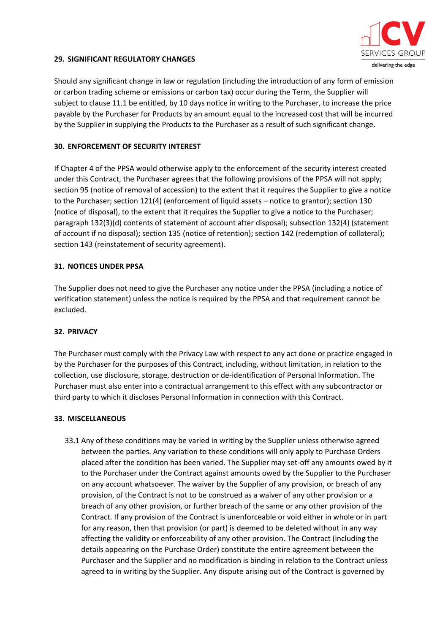

#### **29. SIGNIFICANT REGULATORY CHANGES**

Should any significant change in law or regulation (including the introduction of any form of emission or carbon trading scheme or emissions or carbon tax) occur during the Term, the Supplier will subject to clause 11.1 be entitled, by 10 days notice in writing to the Purchaser, to increase the price payable by the Purchaser for Products by an amount equal to the increased cost that will be incurred by the Supplier in supplying the Products to the Purchaser as a result of such significant change.

#### **30. ENFORCEMENT OF SECURITY INTEREST**

If Chapter 4 of the PPSA would otherwise apply to the enforcement of the security interest created under this Contract, the Purchaser agrees that the following provisions of the PPSA will not apply; section 95 (notice of removal of accession) to the extent that it requires the Supplier to give a notice to the Purchaser; section 121(4) (enforcement of liquid assets – notice to grantor); section 130 (notice of disposal), to the extent that it requires the Supplier to give a notice to the Purchaser; paragraph 132(3)(d) contents of statement of account after disposal); subsection 132(4) (statement of account if no disposal); section 135 (notice of retention); section 142 (redemption of collateral); section 143 (reinstatement of security agreement).

#### **31. NOTICES UNDER PPSA**

The Supplier does not need to give the Purchaser any notice under the PPSA (including a notice of verification statement) unless the notice is required by the PPSA and that requirement cannot be excluded.

#### **32. PRIVACY**

The Purchaser must comply with the Privacy Law with respect to any act done or practice engaged in by the Purchaser for the purposes of this Contract, including, without limitation, in relation to the collection, use disclosure, storage, destruction or de-identification of Personal Information. The Purchaser must also enter into a contractual arrangement to this effect with any subcontractor or third party to which it discloses Personal Information in connection with this Contract.

#### **33. MISCELLANEOUS**

33.1 Any of these conditions may be varied in writing by the Supplier unless otherwise agreed between the parties. Any variation to these conditions will only apply to Purchase Orders placed after the condition has been varied. The Supplier may set-off any amounts owed by it to the Purchaser under the Contract against amounts owed by the Supplier to the Purchaser on any account whatsoever. The waiver by the Supplier of any provision, or breach of any provision, of the Contract is not to be construed as a waiver of any other provision or a breach of any other provision, or further breach of the same or any other provision of the Contract. If any provision of the Contract is unenforceable or void either in whole or in part for any reason, then that provision (or part) is deemed to be deleted without in any way affecting the validity or enforceability of any other provision. The Contract (including the details appearing on the Purchase Order) constitute the entire agreement between the Purchaser and the Supplier and no modification is binding in relation to the Contract unless agreed to in writing by the Supplier. Any dispute arising out of the Contract is governed by